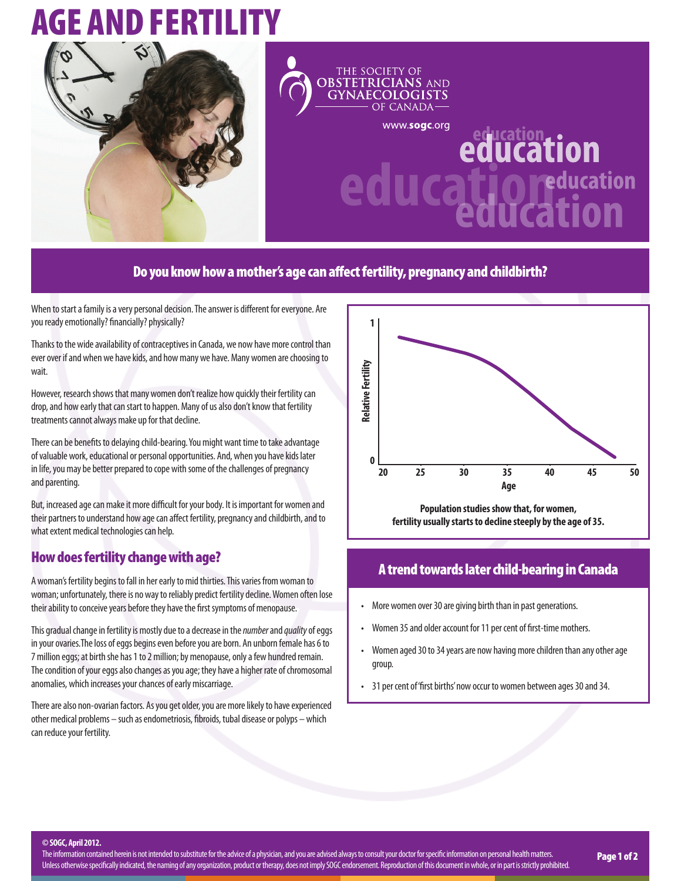# **AGE AND FERTILIT**



#### THE SOCIETY OF **OBSTETRICIANS AND GYNAECOLOGISTS** CANADA-

www.sogc.org

# <u>ucation...</u><br>UCation <u>**ucationalism**</u> education

## Do you know how a mother's age can affect fertility, pregnancy and childbirth?

When to start a family is a very personal decision. The answer is different for everyone. Are you ready emotionally? financially? physically?

Thanks to the wide availability of contraceptives in Canada, we now have more control than ever over if and when we have kids, and how many we have. Many women are choosing to wait.

However, research shows that many women don't realize how quickly their fertility can drop, and how early that can start to happen. Many of us also don't know that fertility treatments cannot always make up for that decline.

There can be benefits to delaying child-bearing. You might want time to take advantage of valuable work, educational or personal opportunities. And, when you have kids later in life, you may be better prepared to cope with some of the challenges of pregnancy and parenting.

But, increased age can make it more difficult for your body. It is important for women and their partners to understand how age can affect fertility, pregnancy and childbirth, and to what extent medical technologies can help.

## How does fertility change with age?

A woman's fertility begins to fall in her early to mid thirties. This varies from woman to woman; unfortunately, there is no way to reliably predict fertility decline. Women often lose their ability to conceive years before they have the first symptoms of menopause.

This gradual change in fertility is mostly due to a decrease in the *number* and *quality* of eggs in your ovaries.The loss of eggs begins even before you are born. An unborn female has 6 to 7 million eggs; at birth she has 1 to 2 million; by menopause, only a few hundred remain. The condition of your eggs also changes as you age; they have a higher rate of chromosomal anomalies, which increases your chances of early miscarriage.

There are also non-ovarian factors. As you get older, you are more likely to have experienced other medical problems – such as endometriosis, fibroids, tubal disease or polyps – which can reduce your fertility.



**Population studies show that, for women, fertility usually starts to decline steeply by the age of 35.**

#### A trend towards later child-bearing in Canada

- More women over 30 are giving birth than in past generations.
- Women 35 and older account for 11 per cent of first-time mothers.
- Women aged 30 to 34 years are now having more children than any other age group.
- 31 per cent of 'first births' now occur to women between ages 30 and 34.

**© SOGC, April 2012.**